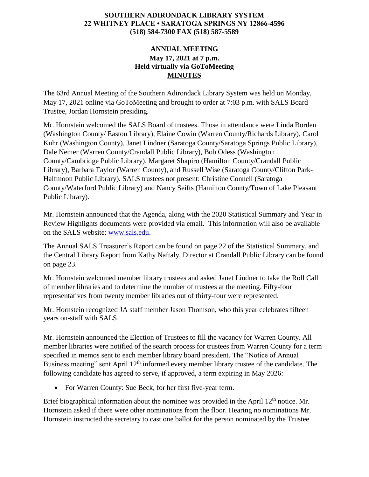## **SOUTHERN ADIRONDACK LIBRARY SYSTEM 22 WHITNEY PLACE • SARATOGA SPRINGS NY 12866-4596 (518) 584-7300 FAX (518) 587-5589**

## **ANNUAL MEETING May 17, 2021 at 7 p.m. Held virtually via GoToMeeting MINUTES**

The 63rd Annual Meeting of the Southern Adirondack Library System was held on Monday, May 17, 2021 online via GoToMeeting and brought to order at 7:03 p.m. with SALS Board Trustee, Jordan Hornstein presiding.

Mr. Hornstein welcomed the SALS Board of trustees. Those in attendance were Linda Borden (Washington County/ Easton Library), Elaine Cowin (Warren County/Richards Library), Carol Kuhr (Washington County), Janet Lindner (Saratoga County/Saratoga Springs Public Library), Dale Nemer (Warren County/Crandall Public Library), Bob Odess (Washington County/Cambridge Public Library). Margaret Shapiro (Hamilton County/Crandall Public Library), Barbara Taylor (Warren County), and Russell Wise (Saratoga County/Clifton Park-Halfmoon Public Library). SALS trustees not present: Christine Connell (Saratoga County/Waterford Public Library) and Nancy Seifts (Hamilton County/Town of Lake Pleasant Public Library).

Mr. Hornstein announced that the Agenda, along with the 2020 Statistical Summary and Year in Review Highlights documents were provided via email. This information will also be available on the SALS website: [www.sals.edu.](http://www.sals.edu/)

The Annual SALS Treasurer's Report can be found on page 22 of the Statistical Summary, and the Central Library Report from Kathy Naftaly, Director at Crandall Public Library can be found on page 23.

Mr. Hornstein welcomed member library trustees and asked Janet Lindner to take the Roll Call of member libraries and to determine the number of trustees at the meeting. Fifty-four representatives from twenty member libraries out of thirty-four were represented.

Mr. Hornstein recognized JA staff member Jason Thomson, who this year celebrates fifteen years on-staff with SALS.

Mr. Hornstein announced the Election of Trustees to fill the vacancy for Warren County. All member libraries were notified of the search process for trustees from Warren County for a term specified in memos sent to each member library board president. The "Notice of Annual Business meeting" sent April 12<sup>th</sup> informed every member library trustee of the candidate. The following candidate has agreed to serve, if approved, a term expiring in May 2026:

• For Warren County: Sue Beck, for her first five-year term.

Brief biographical information about the nominee was provided in the April  $12<sup>th</sup>$  notice. Mr. Hornstein asked if there were other nominations from the floor. Hearing no nominations Mr. Hornstein instructed the secretary to cast one ballot for the person nominated by the Trustee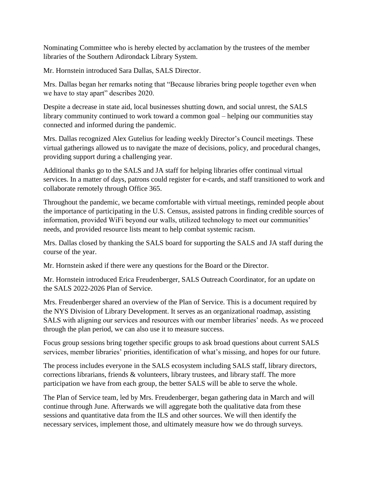Nominating Committee who is hereby elected by acclamation by the trustees of the member libraries of the Southern Adirondack Library System.

Mr. Hornstein introduced Sara Dallas, SALS Director.

Mrs. Dallas began her remarks noting that "Because libraries bring people together even when we have to stay apart" describes 2020.

Despite a decrease in state aid, local businesses shutting down, and social unrest, the SALS library community continued to work toward a common goal – helping our communities stay connected and informed during the pandemic.

Mrs. Dallas recognized Alex Gutelius for leading weekly Director's Council meetings. These virtual gatherings allowed us to navigate the maze of decisions, policy, and procedural changes, providing support during a challenging year.

Additional thanks go to the SALS and JA staff for helping libraries offer continual virtual services. In a matter of days, patrons could register for e-cards, and staff transitioned to work and collaborate remotely through Office 365.

Throughout the pandemic, we became comfortable with virtual meetings, reminded people about the importance of participating in the U.S. Census, assisted patrons in finding credible sources of information, provided WiFi beyond our walls, utilized technology to meet our communities' needs, and provided resource lists meant to help combat systemic racism.

Mrs. Dallas closed by thanking the SALS board for supporting the SALS and JA staff during the course of the year.

Mr. Hornstein asked if there were any questions for the Board or the Director.

Mr. Hornstein introduced Erica Freudenberger, SALS Outreach Coordinator, for an update on the SALS 2022-2026 Plan of Service.

Mrs. Freudenberger shared an overview of the Plan of Service. This is a document required by the NYS Division of Library Development. It serves as an organizational roadmap, assisting SALS with aligning our services and resources with our member libraries' needs. As we proceed through the plan period, we can also use it to measure success.

Focus group sessions bring together specific groups to ask broad questions about current SALS services, member libraries' priorities, identification of what's missing, and hopes for our future.

The process includes everyone in the SALS ecosystem including SALS staff, library directors, corrections librarians, friends & volunteers, library trustees, and library staff. The more participation we have from each group, the better SALS will be able to serve the whole.

The Plan of Service team, led by Mrs. Freudenberger, began gathering data in March and will continue through June. Afterwards we will aggregate both the qualitative data from these sessions and quantitative data from the ILS and other sources. We will then identify the necessary services, implement those, and ultimately measure how we do through surveys.